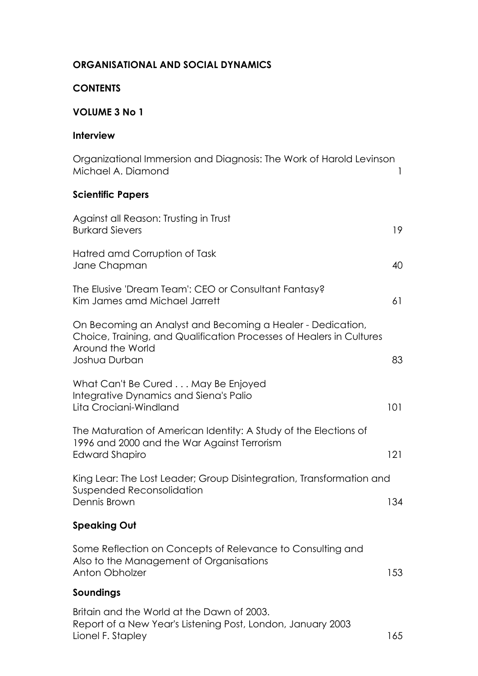## **ORGANISATIONAL AND SOCIAL DYNAMICS**

### **CONTENTS**

### **VOLUME 3 No 1**

### **Interview**

| Organizational Immersion and Diagnosis: The Work of Harold Levinson<br>Michael A. Diamond                                                                               | 1   |
|-------------------------------------------------------------------------------------------------------------------------------------------------------------------------|-----|
| <b>Scientific Papers</b>                                                                                                                                                |     |
| Against all Reason: Trusting in Trust<br><b>Burkard Sievers</b>                                                                                                         | 19  |
| Hatred amd Corruption of Task<br>Jane Chapman                                                                                                                           | 40  |
| The Elusive 'Dream Team': CEO or Consultant Fantasy?<br>Kim James amd Michael Jarrett                                                                                   | 61  |
| On Becoming an Analyst and Becoming a Healer - Dedication,<br>Choice, Training, and Qualification Processes of Healers in Cultures<br>Around the World<br>Joshua Durban | 83  |
| What Can't Be Cured May Be Enjoyed<br>Integrative Dynamics and Siena's Palio<br>Lita Crociani-Windland                                                                  | 101 |
| The Maturation of American Identity: A Study of the Elections of<br>1996 and 2000 and the War Against Terrorism<br>Edward Shapiro                                       | 121 |
| King Lear: The Lost Leader; Group Disintegration, Transformation and<br>Suspended Reconsolidation<br>Dennis Brown                                                       | 134 |
| <b>Speaking Out</b>                                                                                                                                                     |     |
| Some Reflection on Concepts of Relevance to Consulting and<br>Also to the Management of Organisations<br><b>Anton Obholzer</b>                                          | 153 |
| Soundings                                                                                                                                                               |     |
|                                                                                                                                                                         |     |

Britain and the World at the Dawn of 2003. Report of a New Year's Listening Post, London, January 2003 Lionel F. Stapley 165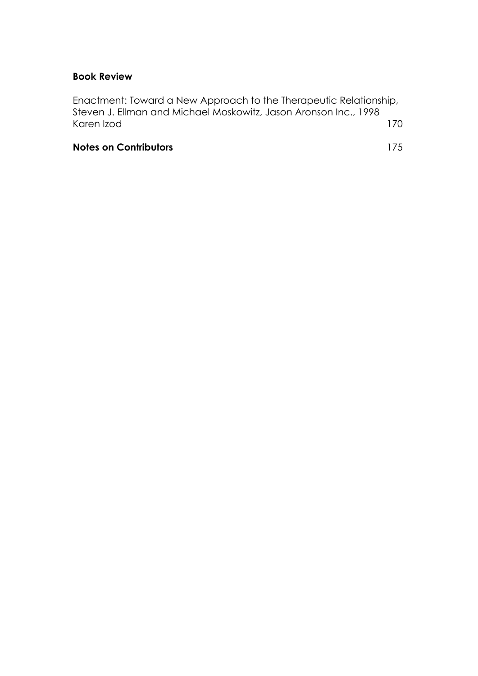## **Book Review**

Enactment: Toward a New Approach to the Therapeutic Relationship, Steven J. Ellman and Michael Moskowitz, Jason Aronson Inc., 1998 Karen Izod 170

## **Notes on Contributors** 175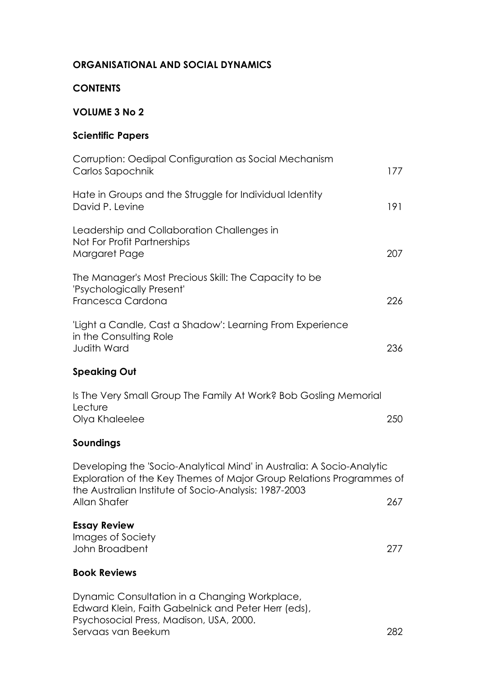## **ORGANISATIONAL AND SOCIAL DYNAMICS**

## **CONTENTS**

## **VOLUME 3 No 2**

# **Scientific Papers**

| Corruption: Oedipal Configuration as Social Mechanism<br>Carlos Sapochnik                                                                                                                                              | 177 |
|------------------------------------------------------------------------------------------------------------------------------------------------------------------------------------------------------------------------|-----|
| Hate in Groups and the Struggle for Individual Identity<br>David P. Levine                                                                                                                                             | 191 |
| Leadership and Collaboration Challenges in<br>Not For Profit Partnerships<br>Margaret Page                                                                                                                             | 207 |
| The Manager's Most Precious Skill: The Capacity to be<br>'Psychologically Present'<br>Francesca Cardona                                                                                                                | 226 |
| 'Light a Candle, Cast a Shadow': Learning From Experience<br>in the Consulting Role<br><b>Judith Ward</b>                                                                                                              | 236 |
| <b>Speaking Out</b>                                                                                                                                                                                                    |     |
| Is The Very Small Group The Family At Work? Bob Gosling Memorial<br>Lecture<br>Olya Khaleelee                                                                                                                          | 250 |
| Soundings                                                                                                                                                                                                              |     |
| Developing the 'Socio-Analytical Mind' in Australia: A Socio-Analytic<br>Exploration of the Key Themes of Major Group Relations Programmes of<br>the Australian Institute of Socio-Analysis: 1987-2003<br>Allan Shafer | 267 |
| <b>Essay Review</b><br>Images of Society<br>John Broadbent                                                                                                                                                             | 277 |
| <b>Book Reviews</b>                                                                                                                                                                                                    |     |
| Dynamic Consultation in a Changing Workplace,<br>Edward Klein, Faith Gabelnick and Peter Herr (eds),<br>Psychosocial Press, Madison, USA, 2000.                                                                        |     |

Servaas van Beekum 282